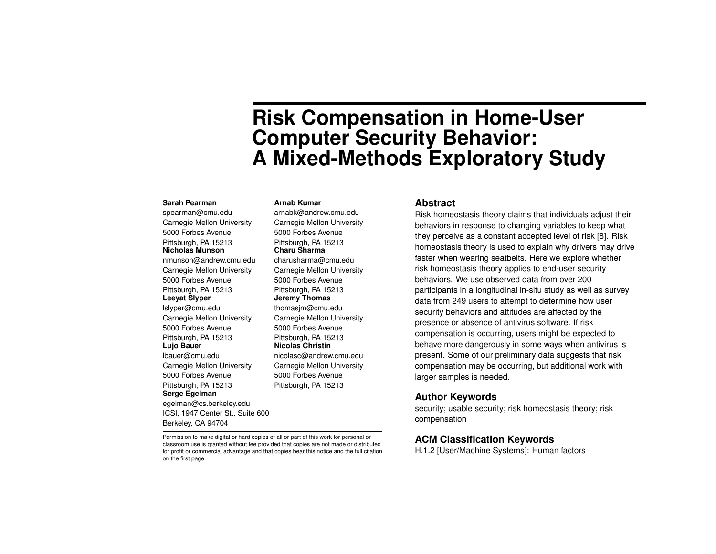# **Risk Compensation in Home-User Computer Security Behavior: A Mixed-Methods Exploratory Study**

### **Sarah Pearman**

spearman@cmu.edu Carnegie Mellon University 5000 Forbes Avenue Pittsburgh, PA 15213 **Nicholas Munson** nmunson@andrew.cmu.edu Carnegie Mellon University 5000 Forbes Avenue Pittsburgh, PA 15213 **Leeyat Slyper** lslyper@cmu.edu Carnegie Mellon University 5000 Forbes Avenue Pittsburgh, PA 15213 **Lujo Bauer** lbauer@cmu.edu Carnegie Mellon University 5000 Forbes Avenue Pittsburgh, PA 15213 **Serge Egelman** egelman@cs.berkeley.edu ICSI, 1947 Center St., Suite 600 Berkeley, CA 94704

#### **Arnab Kumar**

arnabk@andrew.cmu.edu Carnegie Mellon University 5000 Forbes Avenue Pittsburgh, PA 15213 **Charu Sharma** charusharma@cmu.edu Carnegie Mellon University 5000 Forbes Avenue Pittsburgh, PA 15213 **Jeremy Thomas** thomasjm@cmu.edu Carnegie Mellon University 5000 Forbes Avenue Pittsburgh, PA 15213 **Nicolas Christin** nicolasc@andrew.cmu.edu Carnegie Mellon University 5000 Forbes Avenue Pittsburgh, PA 15213

#### **Abstract**

Risk homeostasis theory claims that individuals adjust their behaviors in response to changing variables to keep what they perceive as a constant accepted level of risk [\[8\]](#page-4-0). Risk homeostasis theory is used to explain why drivers may drive faster when wearing seatbelts. Here we explore whether risk homeostasis theory applies to end-user security behaviors. We use observed data from over 200 participants in a longitudinal in-situ study as well as survey data from 249 users to attempt to determine how user security behaviors and attitudes are affected by the presence or absence of antivirus software. If risk compensation is occurring, users might be expected to behave more dangerously in some ways when antivirus is present. Some of our preliminary data suggests that risk compensation may be occurring, but additional work with larger samples is needed.

## **Author Keywords**

security; usable security; risk homeostasis theory; risk compensation

#### Permission to make digital or hard copies of all or part of this work for personal or classroom use is granted without fee provided that copies are not made or distributed for profit or commercial advantage and that copies bear this notice and the full citation on the first page.

**ACM Classification Keywords**

H.1.2 [User/Machine Systems]: Human factors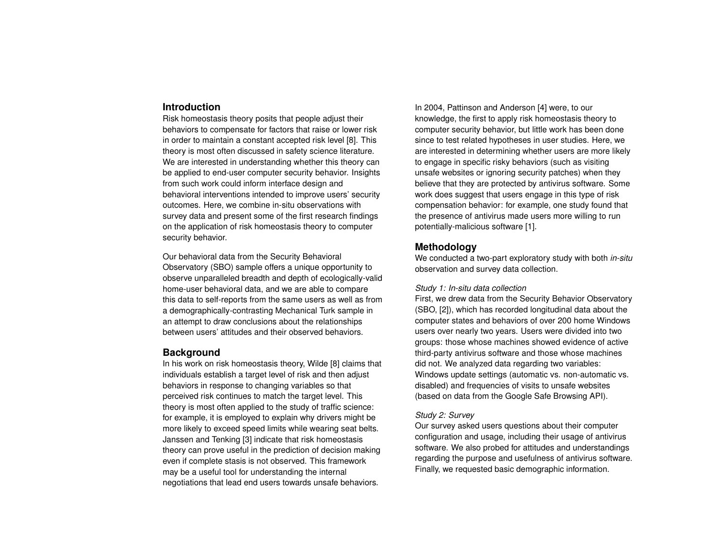# **Introduction**

Risk homeostasis theory posits that people adjust their behaviors to compensate for factors that raise or lower risk in order to maintain a constant accepted risk level [\[8\]](#page-4-0). This theory is most often discussed in safety science literature. We are interested in understanding whether this theory can be applied to end-user computer security behavior. Insights from such work could inform interface design and behavioral interventions intended to improve users' security outcomes. Here, we combine in-situ observations with survey data and present some of the first research findings on the application of risk homeostasis theory to computer security behavior.

Our behavioral data from the Security Behavioral Observatory (SBO) sample offers a unique opportunity to observe unparalleled breadth and depth of ecologically-valid home-user behavioral data, and we are able to compare this data to self-reports from the same users as well as from a demographically-contrasting Mechanical Turk sample in an attempt to draw conclusions about the relationships between users' attitudes and their observed behaviors.

## **Background**

In his work on risk homeostasis theory, Wilde [\[8\]](#page-4-0) claims that individuals establish a target level of risk and then adjust behaviors in response to changing variables so that perceived risk continues to match the target level. This theory is most often applied to the study of traffic science: for example, it is employed to explain why drivers might be more likely to exceed speed limits while wearing seat belts. Janssen and Tenking [\[3\]](#page-4-1) indicate that risk homeostasis theory can prove useful in the prediction of decision making even if complete stasis is not observed. This framework may be a useful tool for understanding the internal negotiations that lead end users towards unsafe behaviors.

In 2004, Pattinson and Anderson [\[4\]](#page-4-2) were, to our knowledge, the first to apply risk homeostasis theory to computer security behavior, but little work has been done since to test related hypotheses in user studies. Here, we are interested in determining whether users are more likely to engage in specific risky behaviors (such as visiting unsafe websites or ignoring security patches) when they believe that they are protected by antivirus software. Some work does suggest that users engage in this type of risk compensation behavior: for example, one study found that the presence of antivirus made users more willing to run potentially-malicious software [\[1\]](#page-4-3).

# **Methodology**

We conducted a two-part exploratory study with both *in-situ* observation and survey data collection.

## *Study 1: In-situ data collection*

First, we drew data from the Security Behavior Observatory (SBO, [\[2\]](#page-4-4)), which has recorded longitudinal data about the computer states and behaviors of over 200 home Windows users over nearly two years. Users were divided into two groups: those whose machines showed evidence of active third-party antivirus software and those whose machines did not. We analyzed data regarding two variables: Windows update settings (automatic vs. non-automatic vs. disabled) and frequencies of visits to unsafe websites (based on data from the Google Safe Browsing API).

## *Study 2: Survey*

Our survey asked users questions about their computer configuration and usage, including their usage of antivirus software. We also probed for attitudes and understandings regarding the purpose and usefulness of antivirus software. Finally, we requested basic demographic information.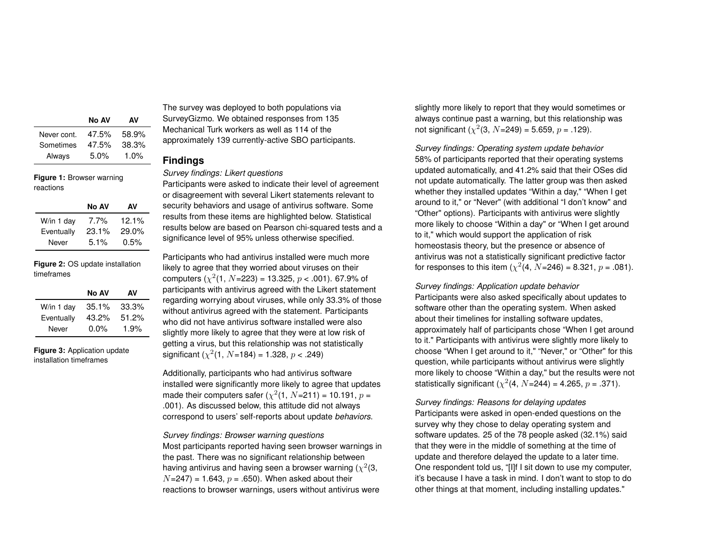|             | No AV | AV    |
|-------------|-------|-------|
| Never cont. | 47.5% | 58.9% |
| Sometimes   | 47.5% | 38.3% |
| Always      | 5.0%  | 1.0%  |

**Figure 1:** Browser warning reactions

|            | No AV   | AV       |
|------------|---------|----------|
| W/in 1 day | $7.7\%$ | $12.1\%$ |
| Eventually | 23.1%   | $29.0\%$ |
| Never      | 5.1%    | 0.5%     |

**Figure 2:** OS update installation timeframes

|            | No AV    | AV    |
|------------|----------|-------|
| W/in 1 day | $35.1\%$ | 33.3% |
| Eventually | 43.2%    | 51.2% |
| Never      | $0.0\%$  | 1.9%  |

**Figure 3:** Application update installation timeframes

The survey was deployed to both populations via SurveyGizmo. We obtained responses from 135 Mechanical Turk workers as well as 114 of the approximately 139 currently-active SBO participants.

# **Findings**

*Survey findings: Likert questions*

Participants were asked to indicate their level of agreement or disagreement with several Likert statements relevant to security behaviors and usage of antivirus software. Some results from these items are highlighted below. Statistical results below are based on Pearson chi-squared tests and a significance level of 95% unless otherwise specified.

Participants who had antivirus installed were much more likely to agree that they worried about viruses on their computers  $(\chi^2(1, N=223) = 13.325, p < .001)$ . 67.9% of participants with antivirus agreed with the Likert statement regarding worrying about viruses, while only 33.3% of those without antivirus agreed with the statement. Participants who did not have antivirus software installed were also slightly more likely to agree that they were at low risk of getting a virus, but this relationship was not statistically significant ( $\chi^2$ (1,  $N$ =184) = 1.328,  $p$  < .249)

Additionally, participants who had antivirus software installed were significantly more likely to agree that updates made their computers safer ( $\chi^2$ (1,  $N$ =211) = 10.191,  $p$  = .001). As discussed below, this attitude did not always correspond to users' self-reports about update *behaviors*.

*Survey findings: Browser warning questions* Most participants reported having seen browser warnings in the past. There was no significant relationship between having antivirus and having seen a browser warning ( $\chi^2$ (3,  $N=247$ ) = 1.643,  $p = .650$ ). When asked about their reactions to browser warnings, users without antivirus were

slightly more likely to report that they would sometimes or always continue past a warning, but this relationship was not significant ( $\chi^2$ (3,  $N$ =249) = 5.659,  $p$  = .129).

*Survey findings: Operating system update behavior* 58% of participants reported that their operating systems updated automatically, and 41.2% said that their OSes did not update automatically. The latter group was then asked whether they installed updates "Within a day," "When I get around to it," or "Never" (with additional "I don't know" and "Other" options). Participants with antivirus were slightly more likely to choose "Within a day" or "When I get around to it," which would support the application of risk homeostasis theory, but the presence or absence of antivirus was not a statistically significant predictive factor for responses to this item  $(\chi^2(4, N=246) = 8.321, p = .081)$ .

*Survey findings: Application update behavior*

Participants were also asked specifically about updates to software other than the operating system. When asked about their timelines for installing software updates, approximately half of participants chose "When I get around to it." Participants with antivirus were slightly more likely to choose "When I get around to it," "Never," or "Other" for this question, while participants without antivirus were slightly more likely to choose "Within a day," but the results were not statistically significant ( $\chi^2$ (4,  $N$ =244) = 4.265,  $p$  = .371).

*Survey findings: Reasons for delaying updates* Participants were asked in open-ended questions on the survey why they chose to delay operating system and software updates. 25 of the 78 people asked (32.1%) said that they were in the middle of something at the time of update and therefore delayed the update to a later time. One respondent told us, "[I]f I sit down to use my computer, it's because I have a task in mind. I don't want to stop to do other things at that moment, including installing updates."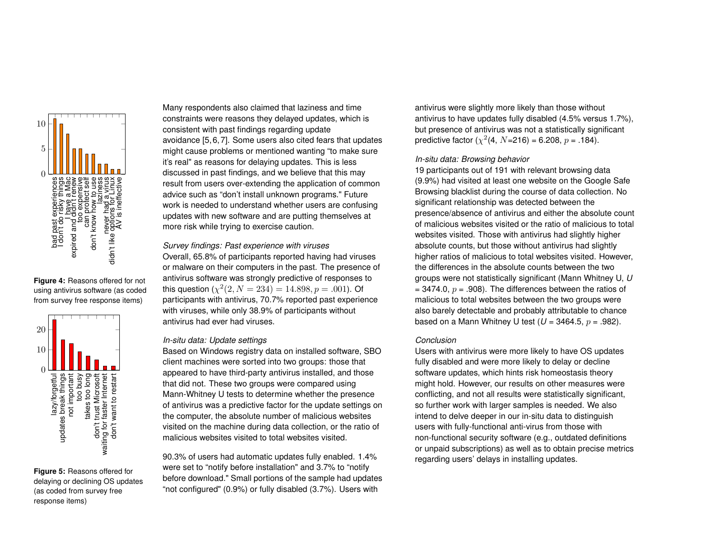

**Figure 4:** Reasons offered for not using antivirus software (as coded from survey free response items)



**Figure 5:** Reasons offered for delaying or declining OS updates (as coded from survey free response items)

Many respondents also claimed that laziness and time constraints were reasons they delayed updates, which is consistent with past findings regarding update avoidance [\[5,](#page-4-5)[6,](#page-4-6)[7\]](#page-4-7). Some users also cited fears that updates might cause problems or mentioned wanting "to make sure it's real" as reasons for delaying updates. This is less discussed in past findings, and we believe that this may result from users over-extending the application of common advice such as "don't install unknown programs." Future work is needed to understand whether users are confusing updates with new software and are putting themselves at more risk while trying to exercise caution.

*Survey findings: Past experience with viruses* Overall, 65.8% of participants reported having had viruses or malware on their computers in the past. The presence of antivirus software was strongly predictive of responses to this question  $(\chi^2(2, N = 234) = 14.898, p = .001)$ . Of participants with antivirus, 70.7% reported past experience with viruses, while only 38.9% of participants without antivirus had ever had viruses.

## *In-situ data: Update settings*

Based on Windows registry data on installed software, SBO client machines were sorted into two groups: those that appeared to have third-party antivirus installed, and those that did not. These two groups were compared using Mann-Whitney U tests to determine whether the presence of antivirus was a predictive factor for the update settings on the computer, the absolute number of malicious websites visited on the machine during data collection, or the ratio of malicious websites visited to total websites visited.

90.3% of users had automatic updates fully enabled. 1.4% were set to "notify before installation" and 3.7% to "notify before download." Small portions of the sample had updates "not configured" (0.9%) or fully disabled (3.7%). Users with

antivirus were slightly more likely than those without antivirus to have updates fully disabled (4.5% versus 1.7%), but presence of antivirus was not a statistically significant predictive factor ( $\chi^2$ (4, N=216) = 6.208, p = .184).

## *In-situ data: Browsing behavior*

19 participants out of 191 with relevant browsing data (9.9%) had visited at least one website on the Google Safe Browsing blacklist during the course of data collection. No significant relationship was detected between the presence/absence of antivirus and either the absolute count of malicious websites visited or the ratio of malicious to total websites visited. Those with antivirus had slightly higher absolute counts, but those without antivirus had slightly higher ratios of malicious to total websites visited. However, the differences in the absolute counts between the two groups were not statistically significant (Mann Whitney U, *U* = 3474.0,  $p = .908$ ). The differences between the ratios of malicious to total websites between the two groups were also barely detectable and probably attributable to chance based on a Mann Whitney U test  $(U = 3464.5, p = .982)$ .

#### *Conclusion*

Users with antivirus were more likely to have OS updates fully disabled and were more likely to delay or decline software updates, which hints risk homeostasis theory might hold. However, our results on other measures were conflicting, and not all results were statistically significant, so further work with larger samples is needed. We also intend to delve deeper in our in-situ data to distinguish users with fully-functional anti-virus from those with non-functional security software (e.g., outdated definitions or unpaid subscriptions) as well as to obtain precise metrics regarding users' delays in installing updates.